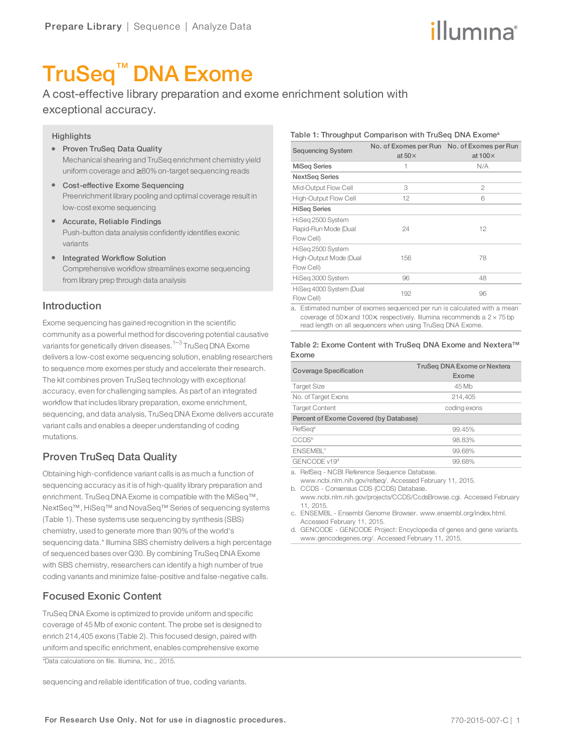# illumına

# TruSeq™ DNA Exome

A cost-effective library preparation and exome enrichment solution with exceptional accuracy.

#### **Highlights**

- Proven TruSeq Data Quality Mechanical shearing and TruSeq enrichment chemistry yield uniform coverage and ≥ 80%on-target sequencing reads
- Cost-effective Exome Sequencing Preenrichment library pooling and optimal coverage result in low-cost exome sequencing
- Accurate, Reliable Findings Push-button data analysis confidently identifies exonic variants
- Integrated Workflow Solution Comprehensive workflow streamlines exome sequencing from library prep through data analysis

#### Introduction

Exome sequencing has gained recognition in the scientific community as a powerful method for discovering potential causative variants for genetically driven diseases.<sup>[1](#page-3-0)–[3](#page-3-1)</sup> TruSeg DNA Exome delivers a low-cost exome sequencing solution, enabling researchers to sequence more exomes per study and accelerate their research. The kit combines proven TruSeq technology with exceptional accuracy, even for challenging samples. As part of an integrated workflow that includes library preparation, exome enrichment, sequencing, and data analysis, TruSeq DNA Exome delivers accurate variant calls and enables a deeper understanding of coding mutations.

# Proven TruSeq Data Quality

Obtaining high-confidence variant calls is as much a function of sequencing accuracy as it is of high-quality library preparation and enrichment. TruSeq DNA Exome is compatible with the MiSeq™, NextSeq™, HiSeq™ and NovaSeq™ Series of sequencing systems (Table 1). These systems use sequencing by synthesis (SBS) chemistry, used to generate more than 90% of the world's sequencing data.\* Illumina SBS chemistry delivers a high percentage of sequenced bases over Q30. By combining TruSeq DNA Exome with SBS chemistry, researchers can identify a high number of true coding variants and minimize false-positive and false-negative calls.

# Focused Exonic Content

TruSeq DNA Exome is optimized to provide uniform and specific coverage of 45 Mb of exonic content. The probe set is designed to enrich 214,405 exons (Table 2). This focused design, paired with uniform and specific enrichment, enables comprehensive exome

\*Data calculations on file. Illumina, Inc., 2015.

sequencing and reliable identification of true, coding variants.

#### Table 1: Throughput Comparison with TruSeq DNA Exome<sup>a</sup>

| <b>Sequencing System</b>                                  | No. of Exomes per Run<br>at $50\times$ | No. of Exomes per Run<br>at $100\times$ |
|-----------------------------------------------------------|----------------------------------------|-----------------------------------------|
| <b>MiSeg Series</b>                                       | 1                                      | N/A                                     |
| <b>NextSeg Series</b>                                     |                                        |                                         |
| Mid-Output Flow Cell                                      | 3                                      | $\mathfrak{D}$                          |
| High-Output Flow Cell                                     | 12                                     | 6                                       |
| <b>HiSeg Series</b>                                       |                                        |                                         |
| HiSeg 2500 System<br>Rapid-Run Mode (Dual<br>Flow Cell)   | 24                                     | 12                                      |
| HiSeg 2500 System<br>High-Output Mode (Dual<br>Flow Cell) | 156                                    | 78                                      |
| HiSeg 3000 System                                         | 96                                     | 48                                      |
| HiSeg 4000 System (Dual<br>Flow Cell)                     | 192                                    | 96                                      |

a. Estimated number of exomes sequenced per run is calculated with a mean coverage of 50 $\times$  and 100 $\times$ , respectively. Illumina recommends a 2  $\times$  75 bp read length on all sequencers when using TruSeq DNA Exome.

#### Table 2: Exome Content with TruSeq DNA Exome and Nextera™ Exome

| Coverage Specification                 | TruSeg DNA Exome or Nextera<br>Exome |  |  |  |
|----------------------------------------|--------------------------------------|--|--|--|
| <b>Target Size</b>                     | 45 Mb                                |  |  |  |
| No. of Target Exons                    | 214,405                              |  |  |  |
| <b>Target Content</b>                  | coding exons                         |  |  |  |
| Percent of Exome Covered (by Database) |                                      |  |  |  |
| RefSeq <sup>a</sup>                    | 99.45%                               |  |  |  |
| CCDS <sup>b</sup>                      | 98.83%                               |  |  |  |
| <b>ENSEMBL<sup>®</sup></b>             | 99.68%                               |  |  |  |
| GENCODE v19 <sup>d</sup>               | 99.68%                               |  |  |  |

a. RefSeq - NCBI Reference Sequence Database.

www.ncbi.nlm.nih.gov/refseq/. Accessed February 11, 2015. b. CCDS - Consensus CDS (CCDS) Database.

www.ncbi.nlm.nih.gov/projects/CCDS/CcdsBrowse.cgi. Accessed February 11, 2015.

c. ENSEMBL - Ensembl Genome Browser. www.ensembl.org/index.html. Accessed February 11, 2015.

d. GENCODE - GENCODE Project: Encyclopedia of genes and gene variants. www.gencodegenes.org/. Accessed February 11, 2015.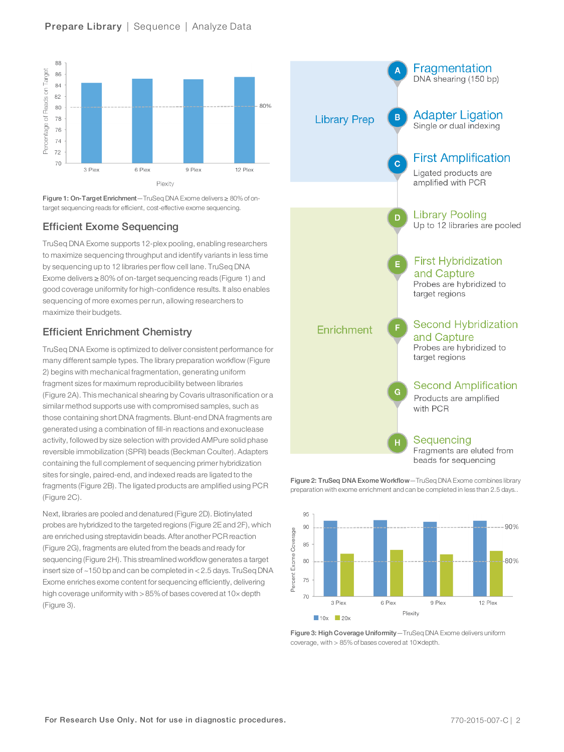## Prepare Library | Sequence | Analyze Data



Figure 1: On-Target Enrichment—TruSeq DNA Exome delivers ≥ 80% of ontarget sequencing reads for efficient, cost-effective exome sequencing.

# Efficient Exome Sequencing

TruSeq DNA Exome supports 12-plex pooling, enabling researchers to maximize sequencing throughput and identify variants in less time by sequencing up to 12 libraries per flow cell lane. TruSeq DNA Exome delivers ≥ 80% of on-target sequencing reads (Figure 1) and good coverage uniformity for high-confidence results. It also enables sequencing of more exomes per run, allowing researchers to maximize their budgets.

# Efficient Enrichment Chemistry

TruSeq DNA Exome is optimized to deliver consistent performance for many different sample types. The library preparation workflow (Figure 2) begins with mechanical fragmentation, generating uniform fragment sizes for maximum reproducibility between libraries (Figure 2A). This mechanical shearing by Covaris ultrasonification or a similar method supports use with compromised samples, such as those containing short DNA fragments. Blunt-end DNA fragments are generated using a combination of fill-in reactions and exonuclease activity, followed by size selection with provided AMPure solid phase reversible immobilization (SPRI) beads (Beckman Coulter). Adapters containing the full complement of sequencing primer hybridization sites for single, paired-end, and indexed reads are ligated to the fragments (Figure 2B). The ligated products are amplified using PCR (Figure 2C).

Next, libraries are pooled and denatured (Figure 2D). Biotinylated probes are hybridized to the targeted regions (Figure 2E and 2F), which are enriched using streptavidin beads. After anotherPCR reaction (Figure 2G), fragments are eluted from the beads and ready for sequencing (Figure 2H). This streamlined workflow generates a target insert size of ~150 bp and can be completed in < 2.5 days. TruSeq DNA Exome enriches exome content for sequencing efficiently, delivering high coverage uniformity with > 85% of bases covered at 10x depth (Figure 3).



Figure 2: TruSeq DNA Exome Workflow—TruSeq DNA Exome combines library preparation with exome enrichment and can be completed in less than 2.5 days..



Figure 3: High Coverage Uniformity—TruSeq DNA Exome delivers uniform coverage, with > 85% of bases covered at 10× depth.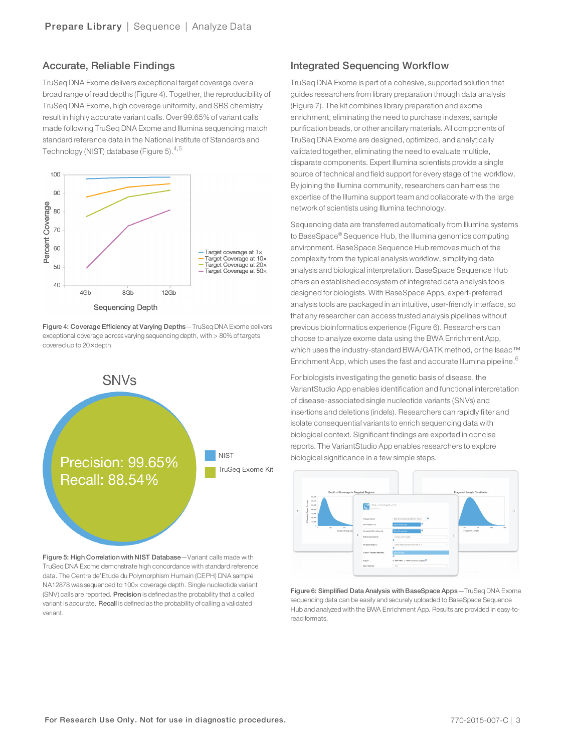#### Accurate, Reliable Findings

TruSeq DNA Exome delivers exceptional target coverage over a broad range of read depths (Figure 4). Together, the reproducibility of TruSeq DNA Exome, high coverage uniformity, and SBS chemistry result in highly accurate variant calls. Over 99.65% of variant calls made following TruSeq DNA Exome and Illumina sequencing match standard reference data in the National Institute of Standards and Technology (NIST) database (Figure [5](#page-3-3)). $4,5$  $4,5$ 



Figure 4: Coverage Efficiency at Varying Depths—TruSeq DNA Exome delivers exceptional coverage across varying sequencing depth, with > 80% of targets covered up to 20× depth.



Figure 5: High Correlation with NIST Database-Variant calls made with TruSeq DNA Exome demonstrate high concordance with standard reference data. The Centre de'Etude du Polymorphism Humain (CEPH) DNA sample NA12878 was sequenced to 100× coverage depth. Single nucleotide variant (SNV) calls are reported. Precision is defined as the probability that a called variant is accurate. Recall is defined as the probability of calling a validated variant.

### Integrated Sequencing Workflow

TruSeq DNA Exome is part of a cohesive, supported solution that guides researchers from library preparation through data analysis (Figure 7). The kit combines library preparation and exome enrichment, eliminating the need to purchase indexes, sample purification beads, or other ancillary materials. All components of TruSeq DNA Exome are designed, optimized, and analytically validated together, eliminating the need to evaluate multiple, disparate components. Expert Illumina scientists provide a single source of technical and field support for every stage of the workflow. By joining the Illumina community, researchers can harness the expertise of the Illumina support team and collaborate with the large network of scientists using Illumina technology.

Sequencing data are transferred automatically from Illumina systems to BaseSpace® Sequence Hub, the Illumina genomics computing environment. BaseSpace Sequence Hub removes much of the complexity from the typical analysis workflow, simplifying data analysis and biological interpretation. BaseSpace Sequence Hub offers an established ecosystem of integrated data analysis tools designed for biologists. With BaseSpace Apps, expert-preferred analysis tools are packaged in an intuitive, user-friendly interface, so that any researcher can access trusted analysis pipelines without previous bioinformatics experience (Figure 6). Researchers can choose to analyze exome data using the BWA Enrichment App, which uses the industry-standard BWA/GATK method, or the Isaac™ Enrichment App, which uses the fast and accurate Illumina pipeline.<sup>[6](#page-3-4)</sup>

For biologists investigating the genetic basis of disease, the VariantStudio App enables identification and functional interpretation of disease-associated single nucleotide variants (SNVs) and insertions and deletions (indels). Researchers can rapidly filter and isolate consequential variants to enrich sequencing data with biological context. Significant findings are exported in concise reports. The VariantStudio App enables researchers to explore biological significance in a few simple steps.



Figure 6: Simplified Data Analysis with BaseSpace Apps—TruSeq DNA Exome sequencing data can be easily and securely uploaded to BaseSpace Sequence Hub and analyzed with the BWA Enrichment App. Results are provided in easy-toread formats.